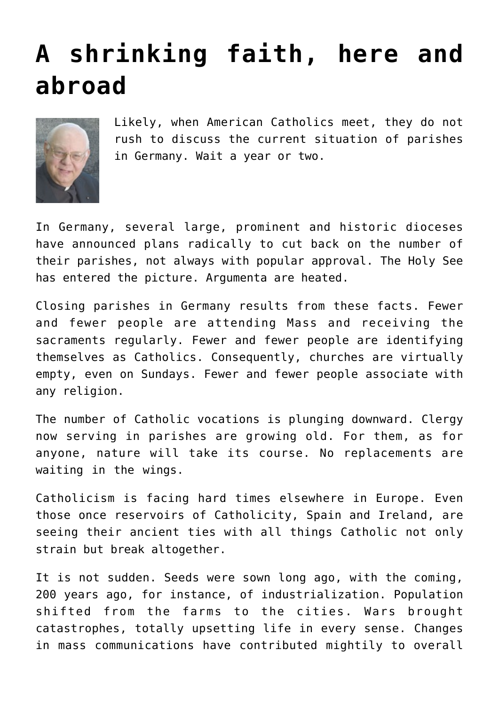## **[A shrinking faith, here and](https://www.osvnews.com/2020/08/04/a-shrinking-faith-here-and-abroad/) [abroad](https://www.osvnews.com/2020/08/04/a-shrinking-faith-here-and-abroad/)**



Likely, when American Catholics meet, they do not rush to discuss the current situation of parishes in Germany. Wait a year or two.

In Germany, several large, prominent and historic dioceses have announced plans radically to cut back on the number of their parishes, not always with popular approval. The Holy See has entered the picture. Argumenta are heated.

Closing parishes in Germany results from these facts. Fewer and fewer people are attending Mass and receiving the sacraments regularly. Fewer and fewer people are identifying themselves as Catholics. Consequently, churches are virtually empty, even on Sundays. Fewer and fewer people associate with any religion.

The number of Catholic vocations is plunging downward. Clergy now serving in parishes are growing old. For them, as for anyone, nature will take its course. No replacements are waiting in the wings.

Catholicism is facing hard times elsewhere in Europe. Even those once reservoirs of Catholicity, Spain and Ireland, are seeing their ancient ties with all things Catholic not only strain but break altogether.

It is not sudden. Seeds were sown long ago, with the coming, 200 years ago, for instance, of industrialization. Population shifted from the farms to the cities. Wars brought catastrophes, totally upsetting life in every sense. Changes in mass communications have contributed mightily to overall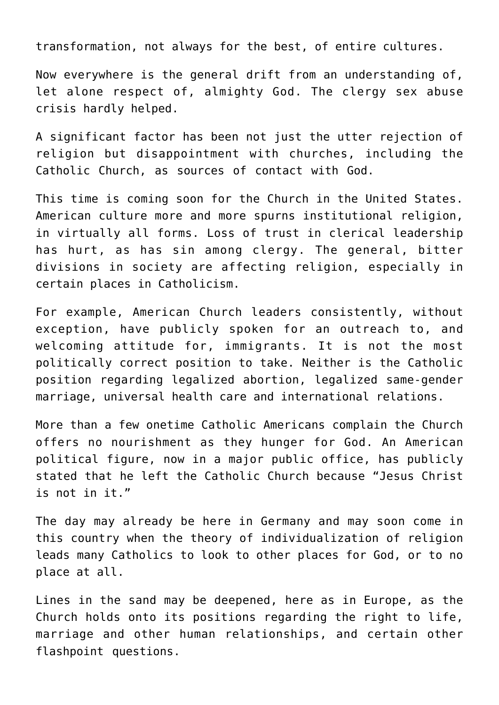transformation, not always for the best, of entire cultures.

Now everywhere is the general drift from an understanding of, let alone respect of, almighty God. The clergy sex abuse crisis hardly helped.

A significant factor has been not just the utter rejection of religion but disappointment with churches, including the Catholic Church, as sources of contact with God.

This time is coming soon for the Church in the United States. American culture more and more spurns institutional religion, in virtually all forms. Loss of trust in clerical leadership has hurt, as has sin among clergy. The general, bitter divisions in society are affecting religion, especially in certain places in Catholicism.

For example, American Church leaders consistently, without exception, have publicly spoken for an outreach to, and welcoming attitude for, immigrants. It is not the most politically correct position to take. Neither is the Catholic position regarding legalized abortion, legalized same-gender marriage, universal health care and international relations.

More than a few onetime Catholic Americans complain the Church offers no nourishment as they hunger for God. An American political figure, now in a major public office, has publicly stated that he left the Catholic Church because "Jesus Christ is not in it."

The day may already be here in Germany and may soon come in this country when the theory of individualization of religion leads many Catholics to look to other places for God, or to no place at all.

Lines in the sand may be deepened, here as in Europe, as the Church holds onto its positions regarding the right to life, marriage and other human relationships, and certain other flashpoint questions.